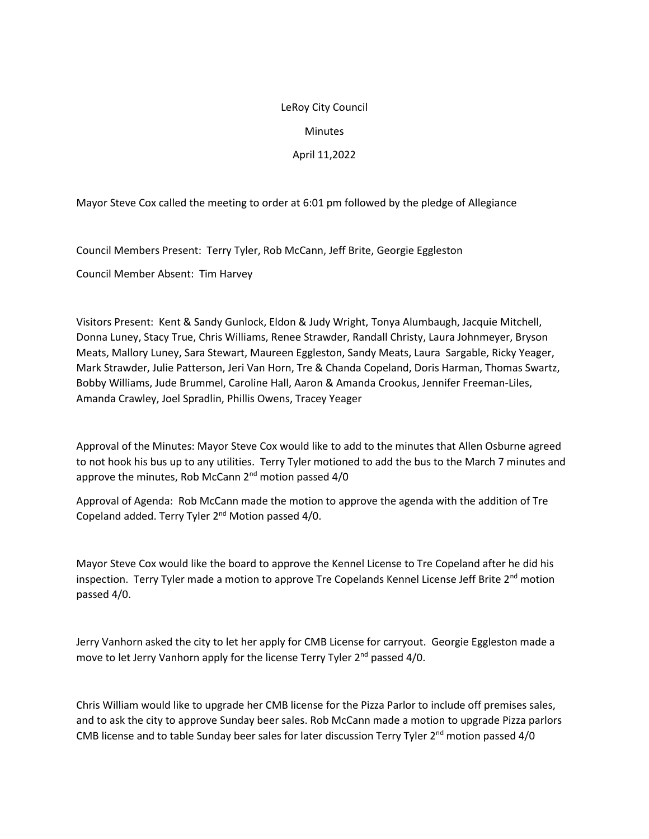## LeRoy City Council

Minutes

April 11,2022

Mayor Steve Cox called the meeting to order at 6:01 pm followed by the pledge of Allegiance

Council Members Present: Terry Tyler, Rob McCann, Jeff Brite, Georgie Eggleston

Council Member Absent: Tim Harvey

Visitors Present: Kent & Sandy Gunlock, Eldon & Judy Wright, Tonya Alumbaugh, Jacquie Mitchell, Donna Luney, Stacy True, Chris Williams, Renee Strawder, Randall Christy, Laura Johnmeyer, Bryson Meats, Mallory Luney, Sara Stewart, Maureen Eggleston, Sandy Meats, Laura Sargable, Ricky Yeager, Mark Strawder, Julie Patterson, Jeri Van Horn, Tre & Chanda Copeland, Doris Harman, Thomas Swartz, Bobby Williams, Jude Brummel, Caroline Hall, Aaron & Amanda Crookus, Jennifer Freeman-Liles, Amanda Crawley, Joel Spradlin, Phillis Owens, Tracey Yeager

Approval of the Minutes: Mayor Steve Cox would like to add to the minutes that Allen Osburne agreed to not hook his bus up to any utilities. Terry Tyler motioned to add the bus to the March 7 minutes and approve the minutes, Rob McCann 2<sup>nd</sup> motion passed 4/0

Approval of Agenda: Rob McCann made the motion to approve the agenda with the addition of Tre Copeland added. Terry Tyler 2nd Motion passed 4/0.

Mayor Steve Cox would like the board to approve the Kennel License to Tre Copeland after he did his inspection. Terry Tyler made a motion to approve Tre Copelands Kennel License Jeff Brite  $2<sup>nd</sup>$  motion passed 4/0.

Jerry Vanhorn asked the city to let her apply for CMB License for carryout. Georgie Eggleston made a move to let Jerry Vanhorn apply for the license Terry Tyler 2<sup>nd</sup> passed 4/0.

Chris William would like to upgrade her CMB license for the Pizza Parlor to include off premises sales, and to ask the city to approve Sunday beer sales. Rob McCann made a motion to upgrade Pizza parlors CMB license and to table Sunday beer sales for later discussion Terry Tyler 2<sup>nd</sup> motion passed 4/0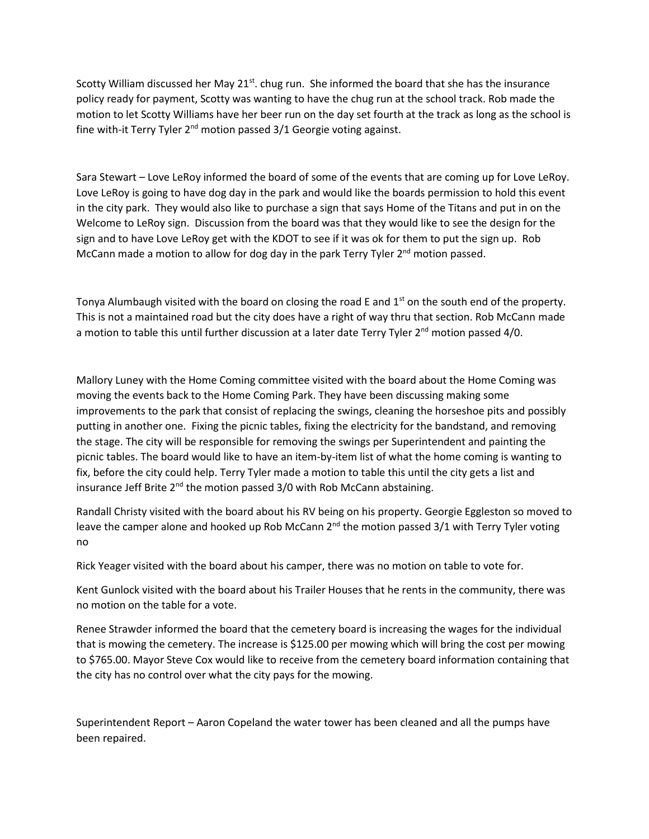Scotty William discussed her May  $21^{st}$ . chug run. She informed the board that she has the insurance policy ready for payment, Scotty was wanting to have the chug run at the school track. Rob made the motion to let Scotty Williams have her beer run on the day set fourth at the track as long as the school is fine with-it Terry Tyler  $2^{nd}$  motion passed  $3/1$  Georgie voting against.

Sara Stewart – Love LeRoy informed the board of some of the events that are coming up for Love LeRoy. Love LeRoy is going to have dog day in the park and would like the boards permission to hold this event in the city park. They would also like to purchase a sign that says Home of the Titans and put in on the Welcome to LeRoy sign. Discussion from the board was that they would like to see the design for the sign and to have Love LeRoy get with the KDOT to see if it was ok for them to put the sign up. Rob McCann made a motion to allow for dog day in the park Terry Tyler  $2<sup>nd</sup>$  motion passed.

Tonya Alumbaugh visited with the board on closing the road E and  $1<sup>st</sup>$  on the south end of the property. This is not a maintained road but the city does have a right of way thru that section. Rob McCann made a motion to table this until further discussion at a later date Terry Tyler 2<sup>nd</sup> motion passed 4/0.

Mallory Luney with the Home Coming committee visited with the board about the Home Coming was moving the events back to the Home Coming Park. They have been discussing making some improvements to the park that consist of replacing the swings, cleaning the horseshoe pits and possibly putting in another one. Fixing the picnic tables, fixing the electricity for the bandstand, and removing the stage. The city will be responsible for removing the swings per Superintendent and painting the picnic tables. The board would like to have an item-by-item list of what the home coming is wanting to fix, before the city could help. Terry Tyler made a motion to table this until the city gets a list and insurance Jeff Brite  $2^{nd}$  the motion passed  $3/0$  with Rob McCann abstaining.

Randall Christy visited with the board about his RV being on his property. Georgie Eggleston so moved to leave the camper alone and hooked up Rob McCann 2<sup>nd</sup> the motion passed 3/1 with Terry Tyler voting no

Rick Yeager visited with the board about his camper, there was no motion on table to vote for.

Kent Gunlock visited with the board about his Trailer Houses that he rents in the community, there was no motion on the table for a vote.

Renee Strawder informed the board that the cemetery board is increasing the wages for the individual that is mowing the cemetery. The increase is \$125.00 per mowing which will bring the cost per mowing to \$765.00. Mayor Steve Cox would like to receive from the cemetery board information containing that the city has no control over what the city pays for the mowing.

Superintendent Report – Aaron Copeland the water tower has been cleaned and all the pumps have been repaired.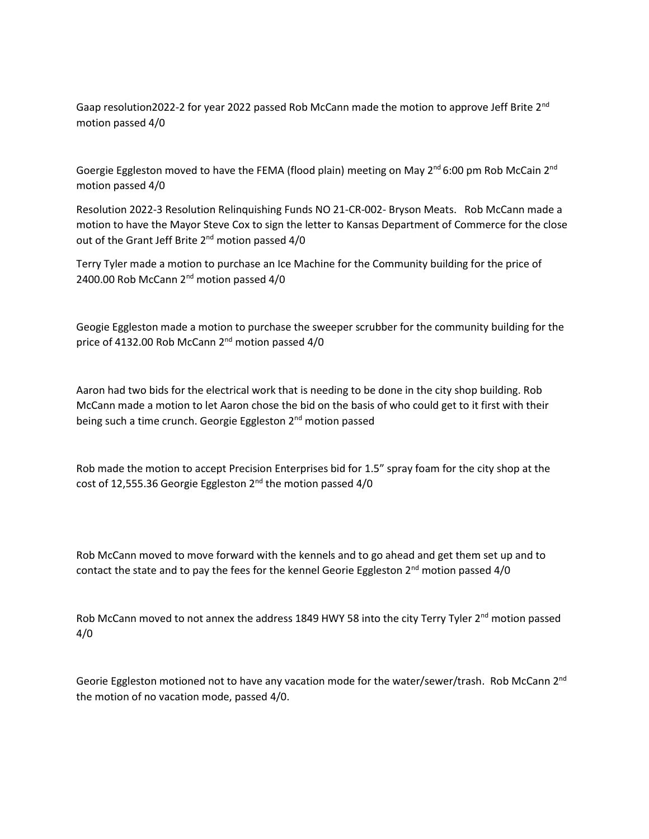Gaap resolution2022-2 for year 2022 passed Rob McCann made the motion to approve Jeff Brite 2<sup>nd</sup> motion passed 4/0

Goergie Eggleston moved to have the FEMA (flood plain) meeting on May  $2^{nd}$  6:00 pm Rob McCain  $2^{nd}$ motion passed 4/0

Resolution 2022-3 Resolution Relinquishing Funds NO 21-CR-002- Bryson Meats. Rob McCann made a motion to have the Mayor Steve Cox to sign the letter to Kansas Department of Commerce for the close out of the Grant Jeff Brite 2<sup>nd</sup> motion passed 4/0

Terry Tyler made a motion to purchase an Ice Machine for the Community building for the price of 2400.00 Rob McCann 2<sup>nd</sup> motion passed 4/0

Geogie Eggleston made a motion to purchase the sweeper scrubber for the community building for the price of 4132.00 Rob McCann 2<sup>nd</sup> motion passed 4/0

Aaron had two bids for the electrical work that is needing to be done in the city shop building. Rob McCann made a motion to let Aaron chose the bid on the basis of who could get to it first with their being such a time crunch. Georgie Eggleston 2<sup>nd</sup> motion passed

Rob made the motion to accept Precision Enterprises bid for 1.5" spray foam for the city shop at the cost of 12,555.36 Georgie Eggleston 2<sup>nd</sup> the motion passed 4/0

Rob McCann moved to move forward with the kennels and to go ahead and get them set up and to contact the state and to pay the fees for the kennel Georie Eggleston  $2^{nd}$  motion passed  $4/0$ 

Rob McCann moved to not annex the address 1849 HWY 58 into the city Terry Tyler  $2^{nd}$  motion passed 4/0

Georie Eggleston motioned not to have any vacation mode for the water/sewer/trash. Rob McCann 2<sup>nd</sup> the motion of no vacation mode, passed 4/0.